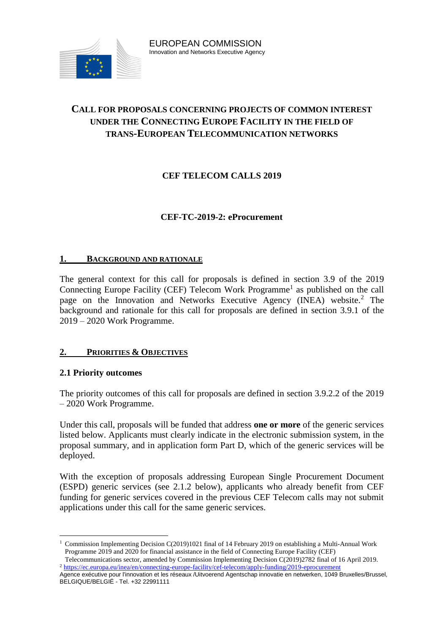

# **CALL FOR PROPOSALS CONCERNING PROJECTS OF COMMON INTEREST UNDER THE CONNECTING EUROPE FACILITY IN THE FIELD OF TRANS-EUROPEAN TELECOMMUNICATION NETWORKS**

# **CEF TELECOM CALLS 2019**

## **CEF-TC-2019-2: eProcurement**

#### **1. BACKGROUND AND RATIONALE**

The general context for this call for proposals is defined in section 3.9 of the 2019 Connecting Europe Facility (CEF) Telecom Work Programme<sup>1</sup> as published on the call page on the Innovation and Networks Executive Agency (INEA) website.<sup>2</sup> The background and rationale for this call for proposals are defined in section 3.9.1 of the 2019 – 2020 Work Programme.

## **2. PRIORITIES & OBJECTIVES**

#### **2.1 Priority outcomes**

 $\overline{a}$ 

The priority outcomes of this call for proposals are defined in section 3.9.2.2 of the 2019 – 2020 Work Programme.

Under this call, proposals will be funded that address **one or more** of the generic services listed below. Applicants must clearly indicate in the electronic submission system, in the proposal summary, and in application form Part D, which of the generic services will be deployed.

With the exception of proposals addressing European Single Procurement Document (ESPD) generic services (see 2.1.2 below), applicants who already benefit from CEF funding for generic services covered in the previous CEF Telecom calls may not submit applications under this call for the same generic services.

<sup>&</sup>lt;sup>1</sup> Commission Implementing Decision C(2019)1021 final of 14 February 2019 on establishing a Multi-Annual Work Programme 2019 and 2020 for financial assistance in the field of Connecting Europe Facility (CEF)

Telecommunications sector, amended by Commission Implementing Decision C(2019)2782 final of 16 April 2019. <sup>2</sup> https://ec.europa.e<u>u/inea/en/connecting-europe-facility/cef-telecom/apply-funding/2019-eprocurement</u>

Agence exécutive pour l'innovation et les réseaux /Uitvoerend Agentschap innovatie en netwerken, 1049 Bruxelles/Brussel, BELGIQUE/BELGIË - Tel. +32 22991111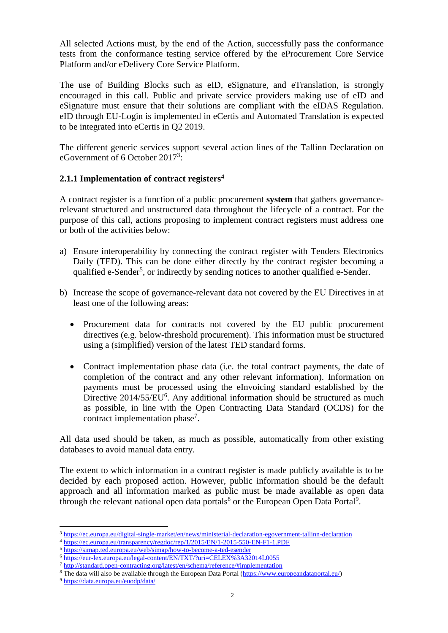All selected Actions must, by the end of the Action, successfully pass the conformance tests from the conformance testing service offered by the eProcurement Core Service Platform and/or eDelivery Core Service Platform.

The use of Building Blocks such as eID, eSignature, and eTranslation, is strongly encouraged in this call. Public and private service providers making use of eID and eSignature must ensure that their solutions are compliant with the eIDAS Regulation. eID through EU-Login is implemented in eCertis and Automated Translation is expected to be integrated into eCertis in Q2 2019.

The different generic services support several action lines of the Tallinn Declaration on eGovernment of 6 October 2017<sup>3</sup>:

#### **2.1.1 Implementation of contract registers<sup>4</sup>**

A contract register is a function of a public procurement **system** that gathers governancerelevant structured and unstructured data throughout the lifecycle of a contract. For the purpose of this call, actions proposing to implement contract registers must address one or both of the activities below:

- a) Ensure interoperability by connecting the contract register with Tenders Electronics Daily (TED). This can be done either directly by the contract register becoming a qualified e-Sender<sup>5</sup>, or indirectly by sending notices to another qualified e-Sender.
- b) Increase the scope of governance-relevant data not covered by the EU Directives in at least one of the following areas:
	- Procurement data for contracts not covered by the EU public procurement directives (e.g. below-threshold procurement). This information must be structured using a (simplified) version of the latest TED standard forms.
	- Contract implementation phase data (i.e. the total contract payments, the date of completion of the contract and any other relevant information). Information on payments must be processed using the eInvoicing standard established by the Directive  $2014/55/EU<sup>6</sup>$ . Any additional information should be structured as much as possible, in line with the Open Contracting Data Standard (OCDS) for the contract implementation phase<sup>7</sup>.

All data used should be taken, as much as possible, automatically from other existing databases to avoid manual data entry.

The extent to which information in a contract register is made publicly available is to be decided by each proposed action. However, public information should be the default approach and all information marked as public must be made available as open data through the relevant national open data portals<sup>8</sup> or the European Open Data Portal<sup>9</sup>.

 $\overline{a}$ 

<sup>3</sup> <https://ec.europa.eu/digital-single-market/en/news/ministerial-declaration-egovernment-tallinn-declaration>

<sup>4</sup> <https://ec.europa.eu/transparency/regdoc/rep/1/2015/EN/1-2015-550-EN-F1-1.PDF>

<sup>5</sup> <https://simap.ted.europa.eu/web/simap/how-to-become-a-ted-esender>

<sup>6</sup> <https://eur-lex.europa.eu/legal-content/EN/TXT/?uri=CELEX%3A32014L0055>

<sup>7</sup> <http://standard.open-contracting.org/latest/en/schema/reference/#implementation>

<sup>&</sup>lt;sup>8</sup> The data will also be available through the European Data Portal [\(https://www.europeandataportal.eu/\)](https://www.europeandataportal.eu/)

<sup>9</sup> <https://data.europa.eu/euodp/data/>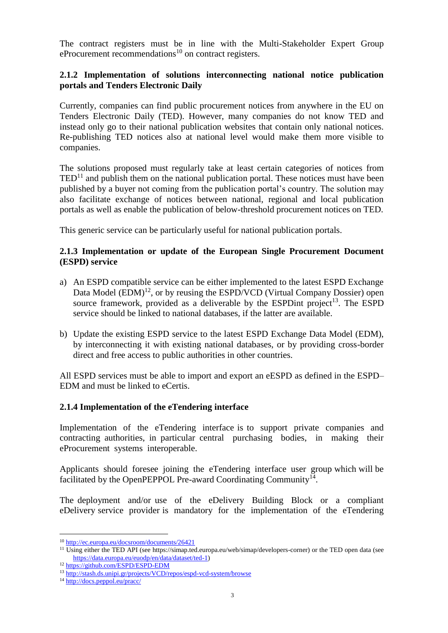The contract registers must be in line with the Multi-Stakeholder Expert Group eProcurement recommendations<sup>10</sup> on contract registers.

## **2.1.2 Implementation of solutions interconnecting national notice publication portals and Tenders Electronic Daily**

Currently, companies can find public procurement notices from anywhere in the EU on Tenders Electronic Daily (TED). However, many companies do not know TED and instead only go to their national publication websites that contain only national notices. Re-publishing TED notices also at national level would make them more visible to companies.

The solutions proposed must regularly take at least certain categories of notices from  $\text{TED}^{11}$  and publish them on the national publication portal. These notices must have been published by a buyer not coming from the publication portal's country. The solution may also facilitate exchange of notices between national, regional and local publication portals as well as enable the publication of below-threshold procurement notices on TED.

This generic service can be particularly useful for national publication portals.

#### **2.1.3 Implementation or update of the European Single Procurement Document (ESPD) service**

- a) An ESPD compatible service can be either implemented to the latest ESPD Exchange Data Model (EDM)<sup>12</sup>, or by reusing the ESPD/VCD (Virtual Company Dossier) open source framework, provided as a deliverable by the ESPD int project<sup>13</sup>. The ESPD service should be linked to national databases, if the latter are available.
- b) Update the existing ESPD service to the latest ESPD Exchange Data Model (EDM), by interconnecting it with existing national databases, or by providing cross-border direct and free access to public authorities in other countries.

All ESPD services must be able to import and export an eESPD as defined in the ESPD– EDM and must be linked to eCertis.

#### **2.1.4 Implementation of the eTendering interface**

Implementation of the eTendering interface is to support private companies and contracting authorities, in particular central purchasing bodies, in making their eProcurement systems interoperable.

Applicants should foresee joining the eTendering interface user group which will be facilitated by the OpenPEPPOL Pre-award Coordinating Community<sup>14</sup>.

The deployment and/or use of the eDelivery Building Block or a compliant eDelivery service provider is mandatory for the implementation of the eTendering

 $\overline{a}$ 

<sup>10</sup> <http://ec.europa.eu/docsroom/documents/26421>

<sup>&</sup>lt;sup>11</sup> Using either the TED API (see https://simap.ted.europa.eu/web/simap/developers-corner) or the TED open data (see [https://data.europa.eu/euodp/en/data/dataset/ted-1\)](https://data.europa.eu/euodp/en/data/dataset/ted-1)

<sup>12</sup> <https://github.com/ESPD/ESPD-EDM>

<sup>13</sup> <http://stash.ds.unipi.gr/projects/VCD/repos/espd-vcd-system/browse>

<sup>14</sup> <http://docs.peppol.eu/pracc/>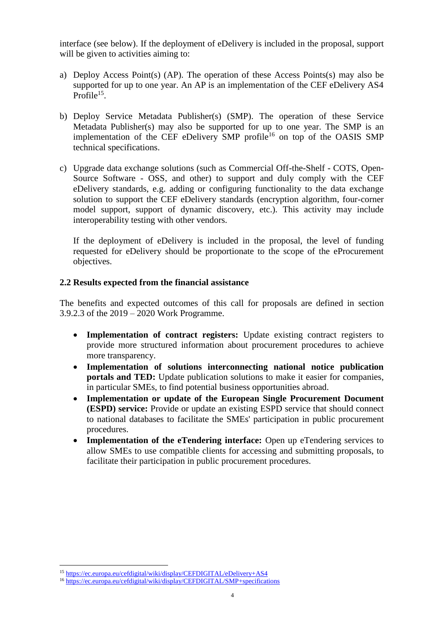interface (see below). If the deployment of eDelivery is included in the proposal, support will be given to activities aiming to:

- a) Deploy Access Point(s) (AP). The operation of these Access Points(s) may also be supported for up to one year. An AP is an implementation of the CEF eDelivery AS4 Profile<sup>15</sup>.
- b) Deploy Service Metadata Publisher(s) (SMP). The operation of these Service Metadata Publisher(s) may also be supported for up to one year. The SMP is an implementation of the CEF eDelivery  $\text{SMP}$  profile<sup>16</sup> on top of the OASIS SMP technical specifications.
- c) Upgrade data exchange solutions (such as Commercial Off-the-Shelf COTS, Open-Source Software - OSS, and other) to support and duly comply with the CEF eDelivery standards, e.g. adding or configuring functionality to the data exchange solution to support the CEF eDelivery standards (encryption algorithm, four-corner model support, support of dynamic discovery, etc.). This activity may include interoperability testing with other vendors.

If the deployment of eDelivery is included in the proposal, the level of funding requested for eDelivery should be proportionate to the scope of the eProcurement objectives.

#### **2.2 Results expected from the financial assistance**

The benefits and expected outcomes of this call for proposals are defined in section 3.9.2.3 of the 2019 – 2020 Work Programme.

- **Implementation of contract registers:** Update existing contract registers to provide more structured information about procurement procedures to achieve more transparency.
- **Implementation of solutions interconnecting national notice publication portals and TED:** Update publication solutions to make it easier for companies, in particular SMEs, to find potential business opportunities abroad.
- **Implementation or update of the European Single Procurement Document (ESPD) service:** Provide or update an existing ESPD service that should connect to national databases to facilitate the SMEs' participation in public procurement procedures.
- **Implementation of the eTendering interface:** Open up eTendering services to allow SMEs to use compatible clients for accessing and submitting proposals, to facilitate their participation in public procurement procedures.

 $\overline{a}$ 

<sup>15</sup> <https://ec.europa.eu/cefdigital/wiki/display/CEFDIGITAL/eDelivery+AS4>

<sup>16</sup> <https://ec.europa.eu/cefdigital/wiki/display/CEFDIGITAL/SMP+specifications>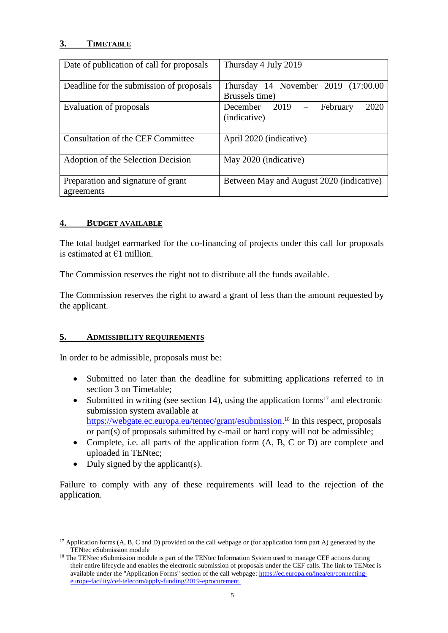## **3. TIMETABLE**

| Date of publication of call for proposals        | Thursday 4 July 2019                                  |
|--------------------------------------------------|-------------------------------------------------------|
| Deadline for the submission of proposals         | Thursday 14 November 2019 (17:00.00<br>Brussels time) |
| Evaluation of proposals                          | December $2019 -$<br>February<br>2020<br>(indicative) |
| Consultation of the CEF Committee                | April 2020 (indicative)                               |
| Adoption of the Selection Decision               | May 2020 (indicative)                                 |
| Preparation and signature of grant<br>agreements | Between May and August 2020 (indicative)              |

#### **4. BUDGET AVAILABLE**

The total budget earmarked for the co-financing of projects under this call for proposals is estimated at €1 million.

The Commission reserves the right not to distribute all the funds available.

The Commission reserves the right to award a grant of less than the amount requested by the applicant.

#### **5. ADMISSIBILITY REQUIREMENTS**

In order to be admissible, proposals must be:

- Submitted no later than the deadline for submitting applications referred to in section 3 on Timetable;
- Submitted in writing (see section 14), using the application forms<sup>17</sup> and electronic submission system available at [https://webgate.ec.europa.eu/tentec/grant/esubmission.](https://webgate.ec.europa.eu/tentec/grant/esubmission)<sup>18</sup> In this respect, proposals or part(s) of proposals submitted by e-mail or hard copy will not be admissible;
- Complete, i.e. all parts of the application form  $(A, B, C \text{ or } D)$  are complete and uploaded in TENtec;
- $\bullet$  Duly signed by the applicant(s).

Failure to comply with any of these requirements will lead to the rejection of the application.

 $\overline{a}$  $17$  Application forms (A, B, C and D) provided on the call webpage or (for application form part A) generated by the TENtec eSubmission module

<sup>&</sup>lt;sup>18</sup> The TENtec eSubmission module is part of the TENtec Information System used to manage CEF actions during their entire lifecycle and enables the electronic submission of proposals under the CEF calls. The link to TENtec is available under the "Application Forms" section of the call webpage[: https://ec.europa.eu/inea/en/connecting](https://ec.europa.eu/inea/en/connecting-europe-facility/cef-telecom/apply-funding/2019-eprocurement)[europe-facility/cef-telecom/apply-funding/2019-eprocurement.](https://ec.europa.eu/inea/en/connecting-europe-facility/cef-telecom/apply-funding/2019-eprocurement)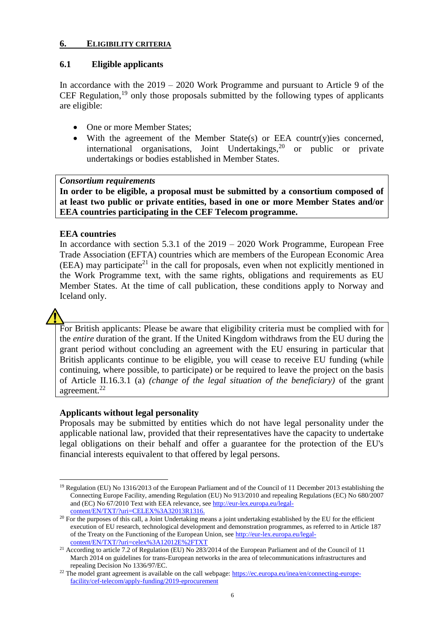#### **6. ELIGIBILITY CRITERIA**

#### **6.1 Eligible applicants**

In accordance with the 2019 – 2020 Work Programme and pursuant to Article 9 of the CEF Regulation,  $19$  only those proposals submitted by the following types of applicants are eligible:

- One or more Member States;
- With the agreement of the Member State(s) or EEA countr(y)ies concerned, international organisations, Joint Undertakings,  $20$  or public or private undertakings or bodies established in Member States.

#### *Consortium requirements*

**In order to be eligible, a proposal must be submitted by a consortium composed of at least two public or private entities, based in one or more Member States and/or EEA countries participating in the CEF Telecom programme.**

#### **EEA countries**

In accordance with section  $5.3.1$  of the  $2019 - 2020$  Work Programme, European Free Trade Association (EFTA) countries which are members of the European Economic Area  $(EEA)$  may participate<sup>21</sup> in the call for proposals, even when not explicitly mentioned in the Work Programme text, with the same rights, obligations and requirements as EU Member States. At the time of call publication, these conditions apply to Norway and Iceland only.

For British applicants: Please be aware that eligibility criteria must be complied with for the *entire* duration of the grant. If the United Kingdom withdraws from the EU during the grant period without concluding an agreement with the EU ensuring in particular that British applicants continue to be eligible, you will cease to receive EU funding (while continuing, where possible, to participate) or be required to leave the project on the basis of Article II.16.3.1 (a) *(change of the legal situation of the beneficiary)* of the grant agreement.<sup>22</sup>

## **Applicants without legal personality**

Proposals may be submitted by entities which do not have legal personality under the applicable national law, provided that their representatives have the capacity to undertake legal obligations on their behalf and offer a guarantee for the protection of the EU's financial interests equivalent to that offered by legal persons.

 $\overline{a}$ <sup>19</sup> Regulation (EU) No 1316/2013 of the European Parliament and of the Council of 11 December 2013 establishing the Connecting Europe Facility, amending Regulation (EU) No 913/2010 and repealing Regulations (EC) No 680/2007 and (EC) No 67/2010 Text with EEA relevance, see [http://eur-lex.europa.eu/legal](http://eur-lex.europa.eu/legal-content/EN/TXT/?uri=CELEX%3A32013R1316)[content/EN/TXT/?uri=CELEX%3A32013R1316.](http://eur-lex.europa.eu/legal-content/EN/TXT/?uri=CELEX%3A32013R1316)

 $20$  For the purposes of this call, a Joint Undertaking means a joint undertaking established by the EU for the efficient execution of EU research, technological development and demonstration programmes, as referred to in Article 187 of the Treaty on the Functioning of the European Union, see [http://eur-lex.europa.eu/legal](http://eur-lex.europa.eu/legal-content/EN/TXT/?uri=celex%3A12012E%2FTXT)[content/EN/TXT/?uri=celex%3A12012E%2FTXT](http://eur-lex.europa.eu/legal-content/EN/TXT/?uri=celex%3A12012E%2FTXT)

<sup>&</sup>lt;sup>21</sup> According to article 7.2 of Regulation (EU) No 283/2014 of the European Parliament and of the Council of 11 March 2014 on guidelines for trans-European networks in the area of telecommunications infrastructures and repealing Decision No 1336/97/EC.

<sup>&</sup>lt;sup>22</sup> The model grant agreement is available on the call webpage[: https://ec.europa.eu/inea/en/connecting-europe](https://ec.europa.eu/inea/en/connecting-europe-facility/cef-telecom/apply-funding/2019-eprocurement)[facility/cef-telecom/apply-funding/2019-eprocurement](https://ec.europa.eu/inea/en/connecting-europe-facility/cef-telecom/apply-funding/2019-eprocurement)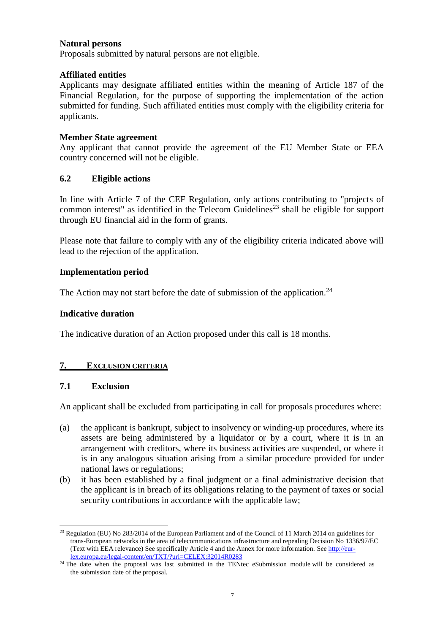#### **Natural persons**

Proposals submitted by natural persons are not eligible.

#### **Affiliated entities**

Applicants may designate affiliated entities within the meaning of Article 187 of the Financial Regulation, for the purpose of supporting the implementation of the action submitted for funding. Such affiliated entities must comply with the eligibility criteria for applicants.

#### **Member State agreement**

Any applicant that cannot provide the agreement of the EU Member State or EEA country concerned will not be eligible.

#### **6.2 Eligible actions**

In line with Article 7 of the CEF Regulation, only actions contributing to "projects of common interest" as identified in the Telecom Guidelines<sup>23</sup> shall be eligible for support through EU financial aid in the form of grants.

Please note that failure to comply with any of the eligibility criteria indicated above will lead to the rejection of the application.

#### **Implementation period**

The Action may not start before the date of submission of the application.<sup>24</sup>

#### **Indicative duration**

The indicative duration of an Action proposed under this call is 18 months.

## **7. EXCLUSION CRITERIA**

## **7.1 Exclusion**

An applicant shall be excluded from participating in call for proposals procedures where:

- (a) the applicant is bankrupt, subject to insolvency or winding-up procedures, where its assets are being administered by a liquidator or by a court, where it is in an arrangement with creditors, where its business activities are suspended, or where it is in any analogous situation arising from a similar procedure provided for under national laws or regulations;
- (b) it has been established by a final judgment or a final administrative decision that the applicant is in breach of its obligations relating to the payment of taxes or social security contributions in accordance with the applicable law;

 $\overline{a}$ <sup>23</sup> Regulation (EU) No 283/2014 of the European Parliament and of the Council of 11 March 2014 on guidelines for trans-European networks in the area of telecommunications infrastructure and repealing Decision No 1336/97/EC (Text with EEA relevance) See specifically Article 4 and the Annex for more information. Se[e http://eur](http://eur-lex.europa.eu/legal-content/en/TXT/?uri=CELEX:32014R0283)[lex.europa.eu/legal-content/en/TXT/?uri=CELEX:32014R0283](http://eur-lex.europa.eu/legal-content/en/TXT/?uri=CELEX:32014R0283) 

<sup>&</sup>lt;sup>24</sup> The date when the proposal was last submitted in the TENtec eSubmission module will be considered as the submission date of the proposal.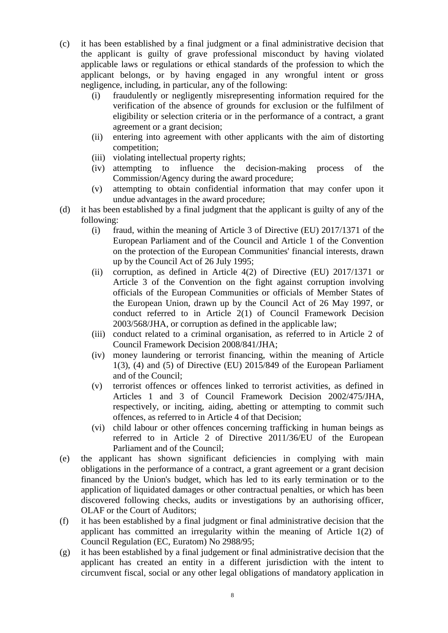- (c) it has been established by a final judgment or a final administrative decision that the applicant is guilty of grave professional misconduct by having violated applicable laws or regulations or ethical standards of the profession to which the applicant belongs, or by having engaged in any wrongful intent or gross negligence, including, in particular, any of the following:
	- (i) fraudulently or negligently misrepresenting information required for the verification of the absence of grounds for exclusion or the fulfilment of eligibility or selection criteria or in the performance of a contract, a grant agreement or a grant decision;
	- (ii) entering into agreement with other applicants with the aim of distorting competition;
	- (iii) violating intellectual property rights;
	- (iv) attempting to influence the decision-making process of the Commission/Agency during the award procedure;
	- (v) attempting to obtain confidential information that may confer upon it undue advantages in the award procedure;
- (d) it has been established by a final judgment that the applicant is guilty of any of the following:
	- (i) fraud, within the meaning of Article 3 of Directive (EU) 2017/1371 of the European Parliament and of the Council and Article 1 of the Convention on the protection of the European Communities' financial interests, drawn up by the Council Act of 26 July 1995;
	- (ii) corruption, as defined in Article 4(2) of Directive (EU) 2017/1371 or Article 3 of the Convention on the fight against corruption involving officials of the European Communities or officials of Member States of the European Union, drawn up by the Council Act of 26 May 1997, or conduct referred to in Article 2(1) of Council Framework Decision 2003/568/JHA, or corruption as defined in the applicable law;
	- (iii) conduct related to a criminal organisation, as referred to in Article 2 of Council Framework Decision 2008/841/JHA;
	- (iv) money laundering or terrorist financing, within the meaning of Article 1(3), (4) and (5) of Directive (EU) 2015/849 of the European Parliament and of the Council;
	- (v) terrorist offences or offences linked to terrorist activities, as defined in Articles 1 and 3 of Council Framework Decision 2002/475/JHA, respectively, or inciting, aiding, abetting or attempting to commit such offences, as referred to in Article 4 of that Decision;
	- (vi) child labour or other offences concerning trafficking in human beings as referred to in Article 2 of Directive 2011/36/EU of the European Parliament and of the Council;
- (e) the applicant has shown significant deficiencies in complying with main obligations in the performance of a contract, a grant agreement or a grant decision financed by the Union's budget, which has led to its early termination or to the application of liquidated damages or other contractual penalties, or which has been discovered following checks, audits or investigations by an authorising officer, OLAF or the Court of Auditors;
- (f) it has been established by a final judgment or final administrative decision that the applicant has committed an irregularity within the meaning of Article 1(2) of Council Regulation (EC, Euratom) No 2988/95;
- (g) it has been established by a final judgement or final administrative decision that the applicant has created an entity in a different jurisdiction with the intent to circumvent fiscal, social or any other legal obligations of mandatory application in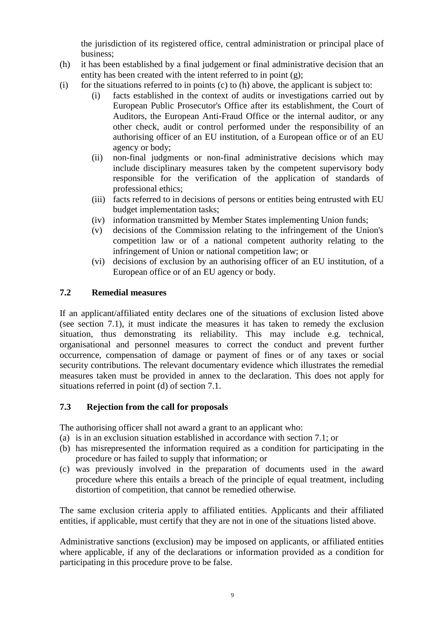the jurisdiction of its registered office, central administration or principal place of business;

- (h) it has been established by a final judgement or final administrative decision that an entity has been created with the intent referred to in point (g);
- (i) for the situations referred to in points (c) to (h) above, the applicant is subject to:
	- (i) facts established in the context of audits or investigations carried out by European Public Prosecutor's Office after its establishment, the Court of Auditors, the European Anti-Fraud Office or the internal auditor, or any other check, audit or control performed under the responsibility of an authorising officer of an EU institution, of a European office or of an EU agency or body;
	- (ii) non-final judgments or non-final administrative decisions which may include disciplinary measures taken by the competent supervisory body responsible for the verification of the application of standards of professional ethics;
	- (iii) facts referred to in decisions of persons or entities being entrusted with EU budget implementation tasks;
	- (iv) information transmitted by Member States implementing Union funds;
	- (v) decisions of the Commission relating to the infringement of the Union's competition law or of a national competent authority relating to the infringement of Union or national competition law; or
	- (vi) decisions of exclusion by an authorising officer of an EU institution, of a European office or of an EU agency or body.

## **7.2 Remedial measures**

If an applicant/affiliated entity declares one of the situations of exclusion listed above (see section 7.1), it must indicate the measures it has taken to remedy the exclusion situation, thus demonstrating its reliability. This may include e.g. technical, organisational and personnel measures to correct the conduct and prevent further occurrence, compensation of damage or payment of fines or of any taxes or social security contributions. The relevant documentary evidence which illustrates the remedial measures taken must be provided in annex to the declaration. This does not apply for situations referred in point (d) of section 7.1.

## **7.3 Rejection from the call for proposals**

The authorising officer shall not award a grant to an applicant who:

- (a) is in an exclusion situation established in accordance with section 7.1; or
- (b) has misrepresented the information required as a condition for participating in the procedure or has failed to supply that information; or
- (c) was previously involved in the preparation of documents used in the award procedure where this entails a breach of the principle of equal treatment, including distortion of competition, that cannot be remedied otherwise.

The same exclusion criteria apply to affiliated entities. Applicants and their affiliated entities, if applicable, must certify that they are not in one of the situations listed above.

Administrative sanctions (exclusion) may be imposed on applicants, or affiliated entities where applicable, if any of the declarations or information provided as a condition for participating in this procedure prove to be false.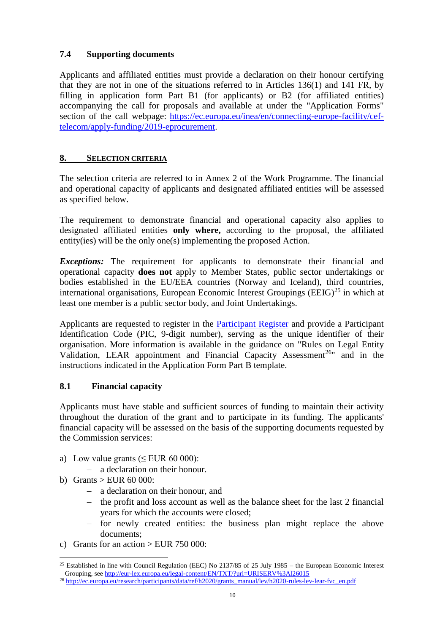## **7.4 Supporting documents**

Applicants and affiliated entities must provide a declaration on their honour certifying that they are not in one of the situations referred to in Articles 136(1) and 141 FR, by filling in application form Part B1 (for applicants) or B2 (for affiliated entities) accompanying the call for proposals and available at under the "Application Forms" section of the call webpage: [https://ec.europa.eu/inea/en/connecting-europe-facility/cef](https://ec.europa.eu/inea/en/connecting-europe-facility/cef-telecom/apply-funding/2019-eprocurement)[telecom/apply-funding/2019-eprocurement.](https://ec.europa.eu/inea/en/connecting-europe-facility/cef-telecom/apply-funding/2019-eprocurement)

## **8. SELECTION CRITERIA**

The selection criteria are referred to in Annex 2 of the Work Programme. The financial and operational capacity of applicants and designated affiliated entities will be assessed as specified below.

The requirement to demonstrate financial and operational capacity also applies to designated affiliated entities **only where,** according to the proposal, the affiliated entity(ies) will be the only one(s) implementing the proposed Action.

*Exceptions:* The requirement for applicants to demonstrate their financial and operational capacity **does not** apply to Member States, public sector undertakings or bodies established in the EU/EEA countries (Norway and Iceland), third countries, international organisations, European Economic Interest Groupings (EEIG)<sup>25</sup> in which at least one member is a public sector body, and Joint Undertakings.

Applicants are requested to register in the [Participant Register](https://ec.europa.eu/info/funding-tenders/opportunities/portal/screen/how-to-participate/participant-register) and provide a Participant Identification Code (PIC, 9-digit number), serving as the unique identifier of their organisation. More information is available in the guidance on ["Rules on Legal Entity](http://ec.europa.eu/research/participants/data/ref/h2020/grants_manual/lev/h2020-rules-lev-lear-fvc_en.pdf)  [Validation, LEAR appointment and Financial Capacity Assessment](http://ec.europa.eu/research/participants/data/ref/h2020/grants_manual/lev/h2020-rules-lev-lear-fvc_en.pdf)<sup>26</sup>" and in the instructions indicated in the Application Form Part B template.

## **8.1 Financial capacity**

Applicants must have stable and sufficient sources of funding to maintain their activity throughout the duration of the grant and to participate in its funding. The applicants' financial capacity will be assessed on the basis of the supporting documents requested by the Commission services:

- a) Low value grants  $( $EUR\ 60\ 000$ ):$ 
	- a declaration on their honour.
- b) Grants > EUR  $60\,000$ :
	- a declaration on their honour, and
	- $\hbox{–}$  the profit and loss account as well as the balance sheet for the last 2 financial years for which the accounts were closed;
	- for newly created entities: the business plan might replace the above documents;
- c) Grants for an action  $>$  EUR 750 000:

<sup>26</sup> [http://ec.europa.eu/research/participants/data/ref/h2020/grants\\_manual/lev/h2020-rules-lev-lear-fvc\\_en.pdf](http://ec.europa.eu/research/participants/data/ref/h2020/grants_manual/lev/h2020-rules-lev-lear-fvc_en.pdf)

 $\overline{a}$ <sup>25</sup> Established in line with Council Regulation (EEC) No 2137/85 of 25 July 1985 – the European Economic Interest Grouping, see<http://eur-lex.europa.eu/legal-content/EN/TXT/?uri=URISERV%3Al26015>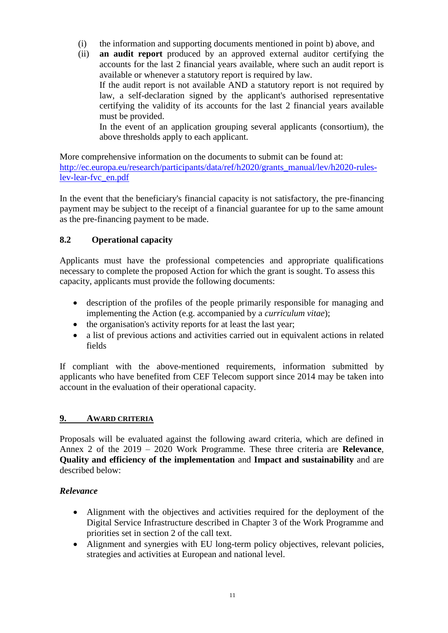- (i) the information and supporting documents mentioned in point b) above, and
- (ii) **an audit report** produced by an approved external auditor certifying the accounts for the last 2 financial years available, where such an audit report is available or whenever a statutory report is required by law. If the audit report is not available AND a statutory report is not required by

law, a self-declaration signed by the applicant's authorised representative certifying the validity of its accounts for the last 2 financial years available must be provided.

In the event of an application grouping several applicants (consortium), the above thresholds apply to each applicant.

More comprehensive information on the documents to submit can be found at: [http://ec.europa.eu/research/participants/data/ref/h2020/grants\\_manual/lev/h2020-rules](http://ec.europa.eu/research/participants/data/ref/h2020/grants_manual/lev/h2020-rules-lev-lear-fvc_en.pdf)[lev-lear-fvc\\_en.pdf](http://ec.europa.eu/research/participants/data/ref/h2020/grants_manual/lev/h2020-rules-lev-lear-fvc_en.pdf)

In the event that the beneficiary's financial capacity is not satisfactory, the pre-financing payment may be subject to the receipt of a financial guarantee for up to the same amount as the pre-financing payment to be made.

# **8.2 Operational capacity**

Applicants must have the professional competencies and appropriate qualifications necessary to complete the proposed Action for which the grant is sought. To assess this capacity, applicants must provide the following documents:

- description of the profiles of the people primarily responsible for managing and implementing the Action (e.g. accompanied by a *curriculum vitae*);
- the organisation's activity reports for at least the last year;
- a list of previous actions and activities carried out in equivalent actions in related fields

If compliant with the above-mentioned requirements, information submitted by applicants who have benefited from CEF Telecom support since 2014 may be taken into account in the evaluation of their operational capacity.

# **9. AWARD CRITERIA**

Proposals will be evaluated against the following award criteria, which are defined in Annex 2 of the 2019 – 2020 Work Programme. These three criteria are **Relevance**, **Quality and efficiency of the implementation** and **Impact and sustainability** and are described below:

# *Relevance*

- Alignment with the objectives and activities required for the deployment of the Digital Service Infrastructure described in Chapter 3 of the Work Programme and priorities set in section 2 of the call text.
- Alignment and synergies with EU long-term policy objectives, relevant policies, strategies and activities at European and national level.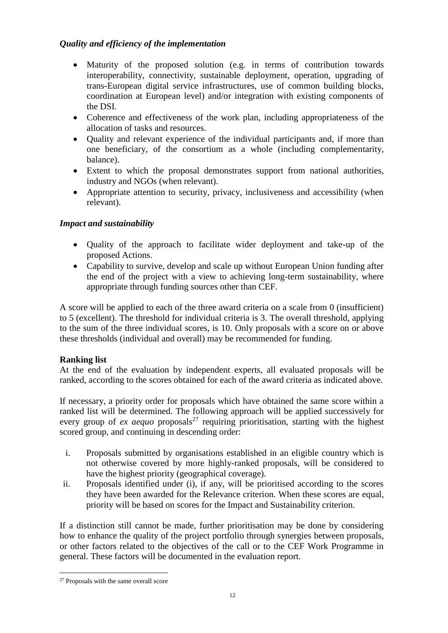# *Quality and efficiency of the implementation*

- Maturity of the proposed solution (e.g. in terms of contribution towards interoperability, connectivity, sustainable deployment, operation, upgrading of trans-European digital service infrastructures, use of common building blocks, coordination at European level) and/or integration with existing components of the DSI.
- Coherence and effectiveness of the work plan, including appropriateness of the allocation of tasks and resources.
- Quality and relevant experience of the individual participants and, if more than one beneficiary, of the consortium as a whole (including complementarity, balance).
- Extent to which the proposal demonstrates support from national authorities, industry and NGOs (when relevant).
- Appropriate attention to security, privacy, inclusiveness and accessibility (when relevant).

# *Impact and sustainability*

- Quality of the approach to facilitate wider deployment and take-up of the proposed Actions.
- Capability to survive, develop and scale up without European Union funding after the end of the project with a view to achieving long-term sustainability, where appropriate through funding sources other than CEF.

A score will be applied to each of the three award criteria on a scale from 0 (insufficient) to 5 (excellent). The threshold for individual criteria is 3. The overall threshold, applying to the sum of the three individual scores, is 10. Only proposals with a score on or above these thresholds (individual and overall) may be recommended for funding.

## **Ranking list**

At the end of the evaluation by independent experts, all evaluated proposals will be ranked, according to the scores obtained for each of the award criteria as indicated above.

If necessary, a priority order for proposals which have obtained the same score within a ranked list will be determined. The following approach will be applied successively for every group of *ex aequo* proposals<sup>27</sup> requiring prioritisation, starting with the highest scored group, and continuing in descending order:

- i. Proposals submitted by organisations established in an eligible country which is not otherwise covered by more highly-ranked proposals, will be considered to have the highest priority (geographical coverage).
- ii. Proposals identified under (i), if any, will be prioritised according to the scores they have been awarded for the Relevance criterion. When these scores are equal, priority will be based on scores for the Impact and Sustainability criterion.

If a distinction still cannot be made, further prioritisation may be done by considering how to enhance the quality of the project portfolio through synergies between proposals, or other factors related to the objectives of the call or to the CEF Work Programme in general. These factors will be documented in the evaluation report.

 <sup>27</sup> Proposals with the same overall score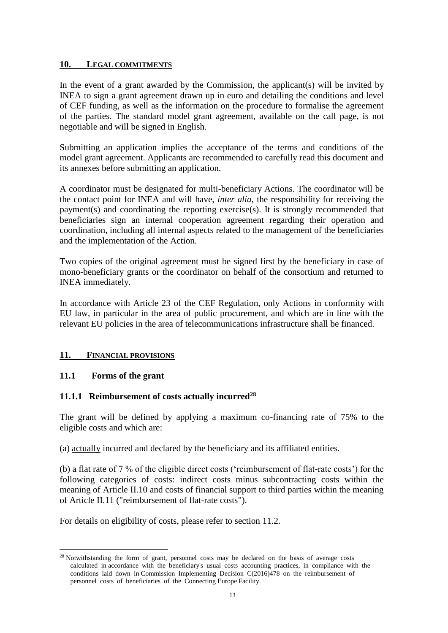#### **10. LEGAL COMMITMENTS**

In the event of a grant awarded by the Commission, the applicant(s) will be invited by INEA to sign a grant agreement drawn up in euro and detailing the conditions and level of CEF funding, as well as the information on the procedure to formalise the agreement of the parties. The standard model grant agreement, available on the call page, is not negotiable and will be signed in English.

Submitting an application implies the acceptance of the terms and conditions of the model grant agreement. Applicants are recommended to carefully read this document and its annexes before submitting an application.

A coordinator must be designated for multi-beneficiary Actions. The coordinator will be the contact point for INEA and will have, *inter alia*, the responsibility for receiving the payment(s) and coordinating the reporting exercise(s). It is strongly recommended that beneficiaries sign an internal cooperation agreement regarding their operation and coordination, including all internal aspects related to the management of the beneficiaries and the implementation of the Action.

Two copies of the original agreement must be signed first by the beneficiary in case of mono-beneficiary grants or the coordinator on behalf of the consortium and returned to INEA immediately.

In accordance with Article 23 of the CEF Regulation, only Actions in conformity with EU law, in particular in the area of public procurement, and which are in line with the relevant EU policies in the area of telecommunications infrastructure shall be financed.

## **11. FINANCIAL PROVISIONS**

## **11.1 Forms of the grant**

## **11.1.1 Reimbursement of costs actually incurred<sup>28</sup>**

The grant will be defined by applying a maximum co-financing rate of 75% to the eligible costs and which are:

(a) actually incurred and declared by the beneficiary and its affiliated entities.

(b) a flat rate of 7 % of the eligible direct costs ('reimbursement of flat-rate costs') for the following categories of costs: indirect costs minus subcontracting costs within the meaning of Article II.10 and costs of financial support to third parties within the meaning of Article II.11 ("reimbursement of flat-rate costs").

For details on eligibility of costs, please refer to section 11.2.

 $\overline{a}$ <sup>28</sup> Notwithstanding the form of grant, personnel costs may be declared on the basis of average costs calculated in accordance with the beneficiary's usual costs accounting practices, in compliance with the conditions laid down in Commission Implementing Decision C(2016)478 on the reimbursement of personnel costs of beneficiaries of the Connecting Europe Facility.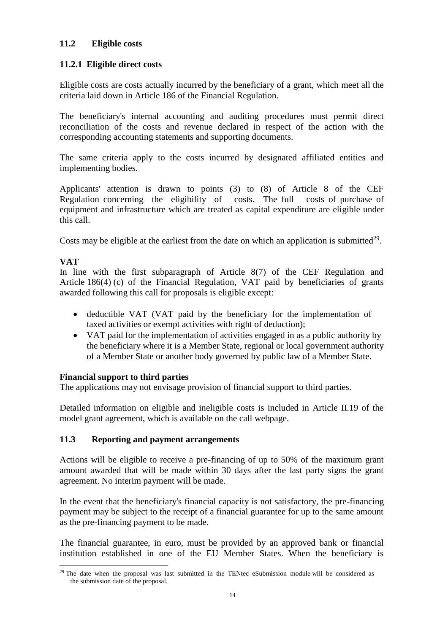# **11.2 Eligible costs**

## **11.2.1 Eligible direct costs**

Eligible costs are costs actually incurred by the beneficiary of a grant, which meet all the criteria laid down in Article 186 of the Financial Regulation.

The beneficiary's internal accounting and auditing procedures must permit direct reconciliation of the costs and revenue declared in respect of the action with the corresponding accounting statements and supporting documents.

The same criteria apply to the costs incurred by designated affiliated entities and implementing bodies.

Applicants' attention is drawn to points (3) to (8) of Article 8 of the CEF Regulation concerning the eligibility of costs. The full costs of purchase of equipment and infrastructure which are treated as capital expenditure are eligible under this call.

Costs may be eligible at the earliest from the date on which an application is submitted $2^9$ .

# **VAT**

 $\overline{a}$ 

In line with the first subparagraph of Article 8(7) of the CEF Regulation and Article 186(4) (c) of the Financial Regulation, VAT paid by beneficiaries of grants awarded following this call for proposals is eligible except:

- deductible VAT (VAT paid by the beneficiary for the implementation of taxed activities or exempt activities with right of deduction);
- VAT paid for the implementation of activities engaged in as a public authority by the beneficiary where it is a Member State, regional or local government authority of a Member State or another body governed by public law of a Member State.

## **Financial support to third parties**

The applications may not envisage provision of financial support to third parties.

Detailed information on eligible and ineligible costs is included in Article II.19 of the model grant agreement, which is available on the call webpage.

## **11.3 Reporting and payment arrangements**

Actions will be eligible to receive a pre-financing of up to 50% of the maximum grant amount awarded that will be made within 30 days after the last party signs the grant agreement. No interim payment will be made.

In the event that the beneficiary's financial capacity is not satisfactory, the pre-financing payment may be subject to the receipt of a financial guarantee for up to the same amount as the pre-financing payment to be made.

The financial guarantee, in euro, must be provided by an approved bank or financial institution established in one of the EU Member States. When the beneficiary is

 $29$  The date when the proposal was last submitted in the TENtec eSubmission module will be considered as the submission date of the proposal.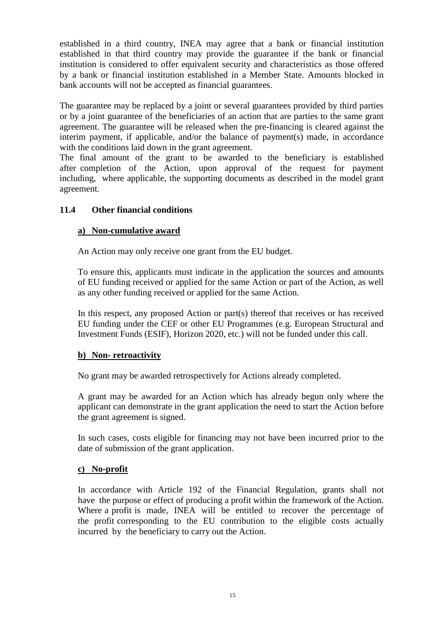established in a third country, INEA may agree that a bank or financial institution established in that third country may provide the guarantee if the bank or financial institution is considered to offer equivalent security and characteristics as those offered by a bank or financial institution established in a Member State. Amounts blocked in bank accounts will not be accepted as financial guarantees.

The guarantee may be replaced by a joint or several guarantees provided by third parties or by a joint guarantee of the beneficiaries of an action that are parties to the same grant agreement. The guarantee will be released when the pre-financing is cleared against the interim payment, if applicable, and/or the balance of payment(s) made, in accordance with the conditions laid down in the grant agreement.

The final amount of the grant to be awarded to the beneficiary is established after completion of the Action, upon approval of the request for payment including, where applicable, the supporting documents as described in the model grant agreement.

## **11.4 Other financial conditions**

# **a) Non-cumulative award**

An Action may only receive one grant from the EU budget.

To ensure this, applicants must indicate in the application the sources and amounts of EU funding received or applied for the same Action or part of the Action, as well as any other funding received or applied for the same Action.

In this respect, any proposed Action or part(s) thereof that receives or has received EU funding under the CEF or other EU Programmes (e.g. European Structural and Investment Funds (ESIF), Horizon 2020, etc.) will not be funded under this call.

## **b) Non- retroactivity**

No grant may be awarded retrospectively for Actions already completed.

A grant may be awarded for an Action which has already begun only where the applicant can demonstrate in the grant application the need to start the Action before the grant agreement is signed.

In such cases, costs eligible for financing may not have been incurred prior to the date of submission of the grant application.

## **c) No-profit**

In accordance with Article 192 of the Financial Regulation, grants shall not have the purpose or effect of producing a profit within the framework of the Action. Where a profit is made, INEA will be entitled to recover the percentage of the profit corresponding to the EU contribution to the eligible costs actually incurred by the beneficiary to carry out the Action.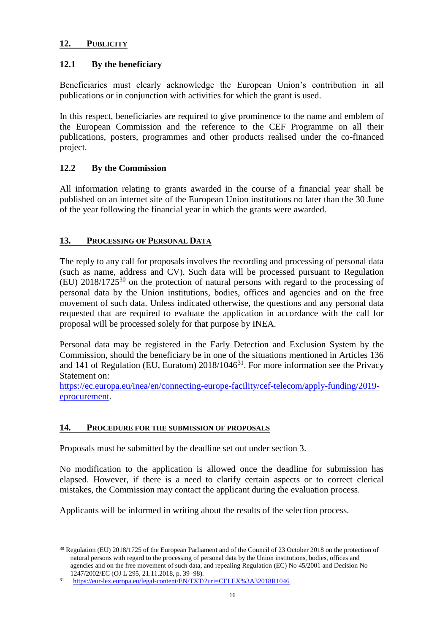## **12. PUBLICITY**

## **12.1 By the beneficiary**

Beneficiaries must clearly acknowledge the European Union's contribution in all publications or in conjunction with activities for which the grant is used.

In this respect, beneficiaries are required to give prominence to the name and emblem of the European Commission and the reference to the CEF Programme on all their publications, posters, programmes and other products realised under the co-financed project.

## **12.2 By the Commission**

All information relating to grants awarded in the course of a financial year shall be published on an internet site of the European Union institutions no later than the 30 June of the year following the financial year in which the grants were awarded.

#### **13. PROCESSING OF PERSONAL DATA**

The reply to any call for proposals involves the recording and processing of personal data (such as name, address and CV). Such data will be processed pursuant to Regulation  $(EU)$  2018/1725<sup>30</sup> on the protection of natural persons with regard to the processing of personal data by the Union institutions, bodies, offices and agencies and on the free movement of such data. Unless indicated otherwise, the questions and any personal data requested that are required to evaluate the application in accordance with the call for proposal will be processed solely for that purpose by INEA.

Personal data may be registered in the Early Detection and Exclusion System by the Commission, should the beneficiary be in one of the situations mentioned in Articles 136 and 141 of Regulation (EU, Euratom)  $2018/1046^{31}$ . For more information see the Privacy Statement on:

[https://ec.europa.eu/inea/en/connecting-europe-facility/cef-telecom/apply-funding/2019](https://ec.europa.eu/inea/en/connecting-europe-facility/cef-telecom/apply-funding/2019-eprocurement) [eprocurement.](https://ec.europa.eu/inea/en/connecting-europe-facility/cef-telecom/apply-funding/2019-eprocurement)

## **14. PROCEDURE FOR THE SUBMISSION OF PROPOSALS**

Proposals must be submitted by the deadline set out under section 3.

No modification to the application is allowed once the deadline for submission has elapsed. However, if there is a need to clarify certain aspects or to correct clerical mistakes, the Commission may contact the applicant during the evaluation process.

Applicants will be informed in writing about the results of the selection process.

 $\overline{a}$ <sup>30</sup> Regulation (EU) 2018/1725 of the European Parliament and of the Council of 23 October 2018 on the protection of natural persons with regard to the processing of personal data by the Union institutions, bodies, offices and agencies and on the free movement of such data, and repealing Regulation (EC) No 45/2001 and Decision No 1247/2002/EC (OJ L 295, 21.11.2018, p. 39–98).

<sup>31</sup> <https://eur-lex.europa.eu/legal-content/EN/TXT/?uri=CELEX%3A32018R1046>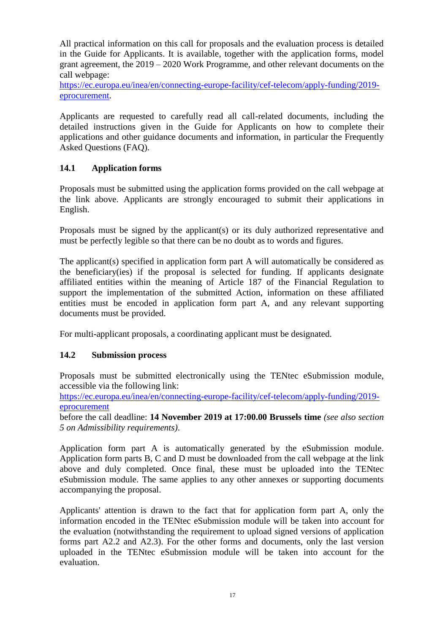All practical information on this call for proposals and the evaluation process is detailed in the Guide for Applicants. It is available, together with the application forms, model grant agreement, the 2019 – 2020 Work Programme, and other relevant documents on the call webpage:

[https://ec.europa.eu/inea/en/connecting-europe-facility/cef-telecom/apply-funding/2019](https://ec.europa.eu/inea/en/connecting-europe-facility/cef-telecom/apply-funding/2019-eprocurement) [eprocurement.](https://ec.europa.eu/inea/en/connecting-europe-facility/cef-telecom/apply-funding/2019-eprocurement)

Applicants are requested to carefully read all call-related documents, including the detailed instructions given in the Guide for Applicants on how to complete their applications and other guidance documents and information, in particular the Frequently Asked Questions (FAQ).

# **14.1 Application forms**

Proposals must be submitted using the application forms provided on the call webpage at the link above. Applicants are strongly encouraged to submit their applications in English.

Proposals must be signed by the applicant(s) or its duly authorized representative and must be perfectly legible so that there can be no doubt as to words and figures.

The applicant(s) specified in application form part A will automatically be considered as the beneficiary(ies) if the proposal is selected for funding. If applicants designate affiliated entities within the meaning of Article 187 of the Financial Regulation to support the implementation of the submitted Action, information on these affiliated entities must be encoded in application form part A, and any relevant supporting documents must be provided.

For multi-applicant proposals, a coordinating applicant must be designated.

#### **14.2 Submission process**

Proposals must be submitted electronically using the TENtec eSubmission module, accessible via the following link:

[https://ec.europa.eu/inea/en/connecting-europe-facility/cef-telecom/apply-funding/2019](https://ec.europa.eu/inea/en/connecting-europe-facility/cef-telecom/apply-funding/2019-eprocurement) [eprocurement](https://ec.europa.eu/inea/en/connecting-europe-facility/cef-telecom/apply-funding/2019-eprocurement)

before the call deadline: **14 November 2019 at 17:00.00 Brussels time** *(see also section 5 on Admissibility requirements)*.

Application form part A is automatically generated by the eSubmission module. Application form parts B, C and D must be downloaded from the call webpage at the link above and duly completed. Once final, these must be uploaded into the TENtec eSubmission module. The same applies to any other annexes or supporting documents accompanying the proposal.

Applicants' attention is drawn to the fact that for application form part A, only the information encoded in the TENtec eSubmission module will be taken into account for the evaluation (notwithstanding the requirement to upload signed versions of application forms part A2.2 and A2.3). For the other forms and documents, only the last version uploaded in the TENtec eSubmission module will be taken into account for the evaluation.